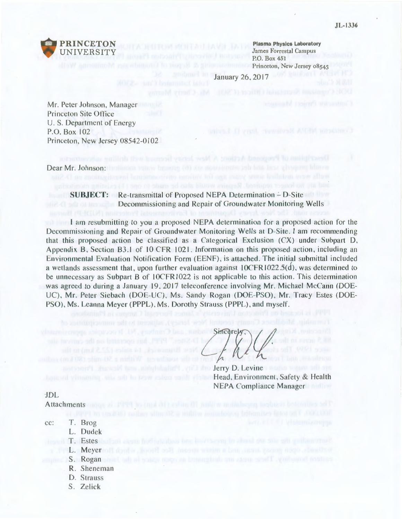

**Plasma Physics Laboratory**  James Forrestal Campus P.O. Box 451 Princeton, New Jersey 08543

January 26, 2017

Mr. Peter Johnson, Manager Princeton Site Office U. S. Department of Energy P.O. Box 102 Princeton, New Jersey 08542-0102

Dear Mr. Johnson: the diagonal spin with sound (c) was acquisited as the last of typing literature

## **SUBJECT:** Re-transmittal of Proposed NEPA Determination – D-Site **Decommissioning and Repair of Groundwater Monitoring Wells**

I am resubmitting to you a proposed NEPA determination for a proposed action for the Decommissioning and Repair of Groundwater Monitoring Wells at D-Site. I am recommending that this proposed action be classified as a Categorical Exclusion  $(CX)$  under Subpart D, Appendix B, Section B3.1 of 10 CFR 1021. Information on this proposed action, including an Environmental Evaluation Notification Form (EENF), is attached. The initial submittal included a wetlands assessment that, upon further evaluation against IOCFR1022.5(d), was determined to be unnecessary as Subpart B of 10CFR1022 is not applicable to this action. This determination was agreed to during a January 19, 2017 teleconference involving Mr. Michael McCann (DOE-UC). Mr. Peter Siebach (DOE-UC). Ms. Sandy Rogan (DOE-PSO), Mr. Tracy Estes (DOE-PSO), Ms. Leanna Meyer (PPPL), Ms. Dorothy Strauss (PPPL), and myself.

Sincerely,

Jerry D. Levine Head, Environment, Safety & Health NEPA Compliance Manager

JDL

Attachments and a 1999 in the all the fill will will be maintenant insurance

- cc: T. Brog
	- L. Dudek
- T. Estes
- L. Meyer
	- S. Rogan
	- R. Sheneman
	- D. Strauss
	- S. Zelick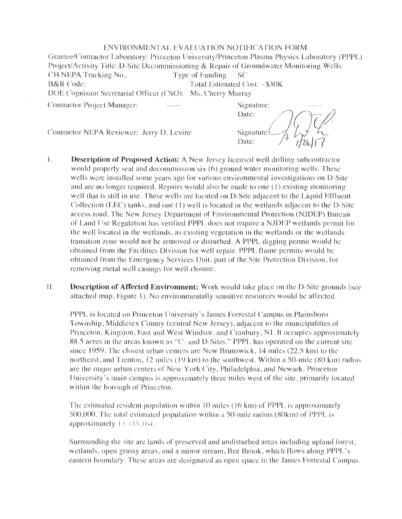### ENVIRONMENTAL EVALUATION NOTIFICATION FORM

Grantee/Contractor Laboratory: Princeton University/Princeton Plasma Physics Laboratory (PPPL) Project/Activity Title: D-Site Decommissioning & Repair of Groundwater Monitoring Wells CH NEPA Tracking No.: Type of Funding SC B&R Code: Total Estimated Cost: ~\$30K DOE Cognizant Secretarial Officer (CSO): Ms. Cherry Murray Contractor Project Manager:

Contractor NEPA Reviewer: Jerry D. Levine

Signature: Date: Signature Date:

- I. **Descriptionof Proposed Action:** A New Jersey licensed well drilling subcontractor would properly seal and decommission six  $(6)$  ground water monitoring wells. These wells were installed some years ago for various environmental investigations on D-Site and are no longer required. Repairs would also be made to one  $(1)$  existing monitoring well that is still in use. These wells are located on D-Site adjacent to the Liquid Effluent Collection (LEC) tanks, and one (1) well is located in the wetlands adjacent to the D-Site access road. The New Jersey Department of Environmental Protection (NJDEP) Bureau of Land Use Regulation has verified PPPL does not require a NJDEP wetlands permit for the well located in the wetlands, as existing vegetation in the wetlands or the wetlands transition zone would not be removed or disturbed. A PPPL digging permit would be obtained from the Facilities Division for well repair. PPPL flame permits would be obtained from the Emergency Services Unit , part of the Site Protection Division , for removing metal well casings for well closure .
- **11. Description of Affected Environment:** Work would take place on the D-Site grounds (see attached map, Figure 1). No environmentally sensitive resources would be affected.

PPPL is located on Princeton University's James Forrestal Campus in Plainsboro Township, Middlesex County (central New Jersey), adjacent to the municipalities of Princeton, Kingston, East and West Windsor, and Cranbury, NJ. It occupies approximately 88.5 acres in the areas known as "C- and D-Sites." PPPL has operated on the current site since 1959. The closest urban centers are New Brunswick,  $14$  miles ( $22.5$  km) to the northeast, and Trenton,  $12$  miles ( $19 \text{ km}$ ) to the southwest. Within a 50-mile ( $80 \text{ km}$ ) radius are the major urban centers of New York City, Philadelphia, and Newark. Princeton University's main campus is approximately three miles west of the site, primarily located within the borough of Princeton.

The estimated resident population within  $10$  miles ( $16 \text{ km}$ ) of PPPL is approximately 500,000. The total estimated population within a 50-mile radius (80km) of PPPL is approximately 17.735.164.

Surrounding the site are lands of preserved and undisturbed areas including upland forest, wetlands, open grassy areas, and a minor stream, Bee Brook, which flows along PPPL's eastern boundary. These areas are designated as open space in the James Forrestal Campus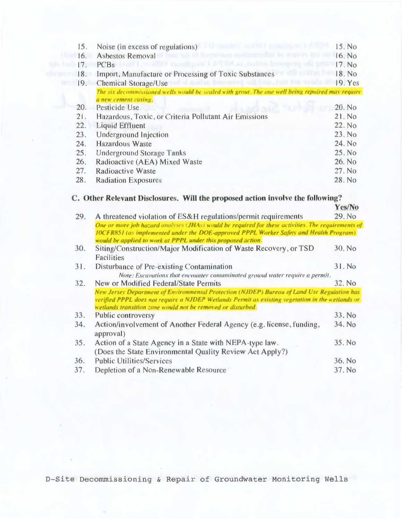| 15. | Noise (in excess of regulations)                                                                 | 15. No  |
|-----|--------------------------------------------------------------------------------------------------|---------|
| 16. | <b>WEIGHT THE MEMBER STE</b><br><b>Asbestos Removal</b>                                          | 16. No  |
| 17. | <b>PCBs</b>                                                                                      | 17. No. |
| 18. | Import, Manufacture or Processing of Toxic Substances                                            | 18. No. |
| 19. | Chemical Storage/Use                                                                             | 19. Yes |
|     | The six decommissioned wells would be sealed with grout. The one well being repaired may require |         |
|     | a new cement casing.                                                                             |         |
| 20. | Pesticide Use                                                                                    | 20. No  |
| 21. | Hazardous, Toxic, or Criteria Pollutant Air Emissions                                            | 21. No  |
| 22. | Liquid Effluent                                                                                  | 22. No  |
| 23. | Underground Injection                                                                            | 23. No  |
| 24. | Hazardous Waste                                                                                  | 24. No  |
| 25. | <b>Underground Storage Tanks</b>                                                                 | 25. No  |
| 26. | Radioactive (AEA) Mixed Waste                                                                    | 26. No  |
| 27. | Radioactive Waste                                                                                | 27. No  |
| 28. | <b>Radiation Exposures</b>                                                                       | 28. No  |
|     |                                                                                                  |         |

# C. Other Relevant Disclosures. Will the proposed action involve the following?

|     |                                                                                                                                                                                                                                                                     | Y es/INO |
|-----|---------------------------------------------------------------------------------------------------------------------------------------------------------------------------------------------------------------------------------------------------------------------|----------|
| 29. | A threatened violation of ES&H regulations/permit requirements                                                                                                                                                                                                      | 29. No   |
|     | One or more job hazard analyses (JHAs) would be required for these activities. The requirements of<br><b>IOCFR851</b> (as implemented under the DOE-approved PPPL Worker Safety and Health Program)<br>would be applied to work at PPPL under this proposed action. |          |
| 30. | Siting/Construction/Major Modification of Waste Recovery, or TSD<br><b>Facilities</b>                                                                                                                                                                               | 30. No.  |
| 31. | Disturbance of Pre-existing Contamination                                                                                                                                                                                                                           | 31. No   |
|     | Note: Excavations that encounter contaminated ground water require a permit.                                                                                                                                                                                        |          |
| 32. | New or Modified Federal/State Permits                                                                                                                                                                                                                               | 32. No.  |
|     | New Jersey Department of Environmental Protection (NJDEP) Bureau of Land Use Regulation has<br>verified PPPL does not require a NJDEP Wetlands Permit as existing vegetation in the wetlands or<br>wetlands transition zone would not be removed or disturbed.      |          |
| 33. | Public controversy                                                                                                                                                                                                                                                  | 33. No   |
| 34. | Action/involvement of Another Federal Agency (e.g. license, funding,<br>approval)                                                                                                                                                                                   | 34. No   |
| 35. | Action of a State Agency in a State with NEPA-type law.<br>(Does the State Environmental Quality Review Act Apply?)                                                                                                                                                 | 35. No   |
| 36. | <b>Public Utilities/Services</b>                                                                                                                                                                                                                                    | 36. No   |
| 37. | Depletion of a Non-Renewable Resource                                                                                                                                                                                                                               | 37. No   |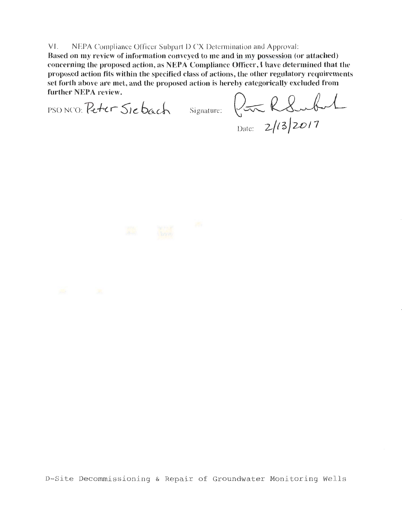#### VI. NEPA Compliance Officer Subpart D CX Determination and Approval:

**Based on my review of information conveyed to me and in my possession (or attached)**  concerning the proposed action, as NEPA Compliance Officer, I have determined that the **proposed action fits within the specified class of actions, the other regulatory requirements**  set forth above are met, and the proposed action is hereby categorically excluded from further NEPA review. **further NEPA review.**  Signature: **Quarter Confidence**<br>Signature: **Quarter Confidence**<br>Signature: **Quarter Confidence** 

Date: **2/(3/2017** 

### D-Site Decommissioning & Repair of Groundwater Monitoring Wells